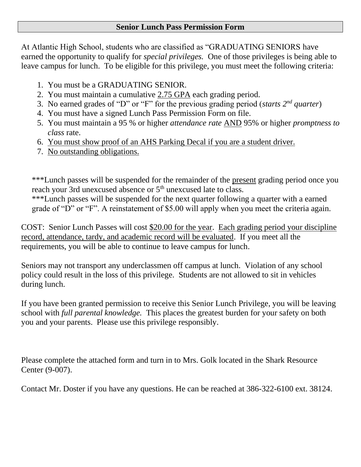## **Senior Lunch Pass Permission Form**

At Atlantic High School, students who are classified as "GRADUATING SENIORS have earned the opportunity to qualify for *special privileges.* One of those privileges is being able to leave campus for lunch. To be eligible for this privilege, you must meet the following criteria:

- 1. You must be a GRADUATING SENIOR.
- 2. You must maintain a cumulative 2.75 GPA each grading period.
- 3. No earned grades of "D" or "F" for the previous grading period (*starts 2nd quarter*)
- 4. You must have a signed Lunch Pass Permission Form on file.
- 5. You must maintain a 95 % or higher *attendance rate* AND 95% or higher *promptness to class* rate.
- 6. You must show proof of an AHS Parking Decal if you are a student driver.
- 7. No outstanding obligations.

\*\*\*Lunch passes will be suspended for the remainder of the present grading period once you reach your 3rd unexcused absence or 5<sup>th</sup> unexcused late to class.

\*\*\*Lunch passes will be suspended for the next quarter following a quarter with a earned grade of "D" or "F". A reinstatement of \$5.00 will apply when you meet the criteria again.

COST: Senior Lunch Passes will cost \$20.00 for the year. Each grading period your discipline record, attendance, tardy, and academic record will be evaluated. If you meet all the requirements, you will be able to continue to leave campus for lunch.

Seniors may not transport any underclassmen off campus at lunch. Violation of any school policy could result in the loss of this privilege. Students are not allowed to sit in vehicles during lunch.

If you have been granted permission to receive this Senior Lunch Privilege, you will be leaving school with *full parental knowledge.* This places the greatest burden for your safety on both you and your parents. Please use this privilege responsibly.

Please complete the attached form and turn in to Mrs. Golk located in the Shark Resource Center (9-007).

Contact Mr. Doster if you have any questions. He can be reached at 386-322-6100 ext. 38124.